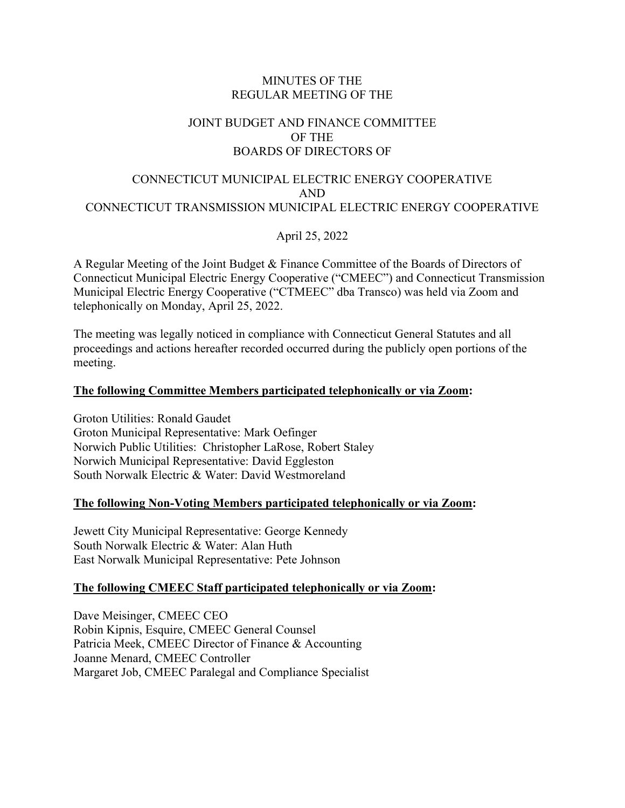### MINUTES OF THE REGULAR MEETING OF THE

# JOINT BUDGET AND FINANCE COMMITTEE OF THE BOARDS OF DIRECTORS OF

### CONNECTICUT MUNICIPAL ELECTRIC ENERGY COOPERATIVE AND CONNECTICUT TRANSMISSION MUNICIPAL ELECTRIC ENERGY COOPERATIVE

April 25, 2022

A Regular Meeting of the Joint Budget & Finance Committee of the Boards of Directors of Connecticut Municipal Electric Energy Cooperative ("CMEEC") and Connecticut Transmission Municipal Electric Energy Cooperative ("CTMEEC" dba Transco) was held via Zoom and telephonically on Monday, April 25, 2022.

The meeting was legally noticed in compliance with Connecticut General Statutes and all proceedings and actions hereafter recorded occurred during the publicly open portions of the meeting.

### **The following Committee Members participated telephonically or via Zoom:**

Groton Utilities: Ronald Gaudet Groton Municipal Representative: Mark Oefinger Norwich Public Utilities: Christopher LaRose, Robert Staley Norwich Municipal Representative: David Eggleston South Norwalk Electric & Water: David Westmoreland

#### **The following Non-Voting Members participated telephonically or via Zoom:**

Jewett City Municipal Representative: George Kennedy South Norwalk Electric & Water: Alan Huth East Norwalk Municipal Representative: Pete Johnson

# **The following CMEEC Staff participated telephonically or via Zoom:**

Dave Meisinger, CMEEC CEO Robin Kipnis, Esquire, CMEEC General Counsel Patricia Meek, CMEEC Director of Finance & Accounting Joanne Menard, CMEEC Controller Margaret Job, CMEEC Paralegal and Compliance Specialist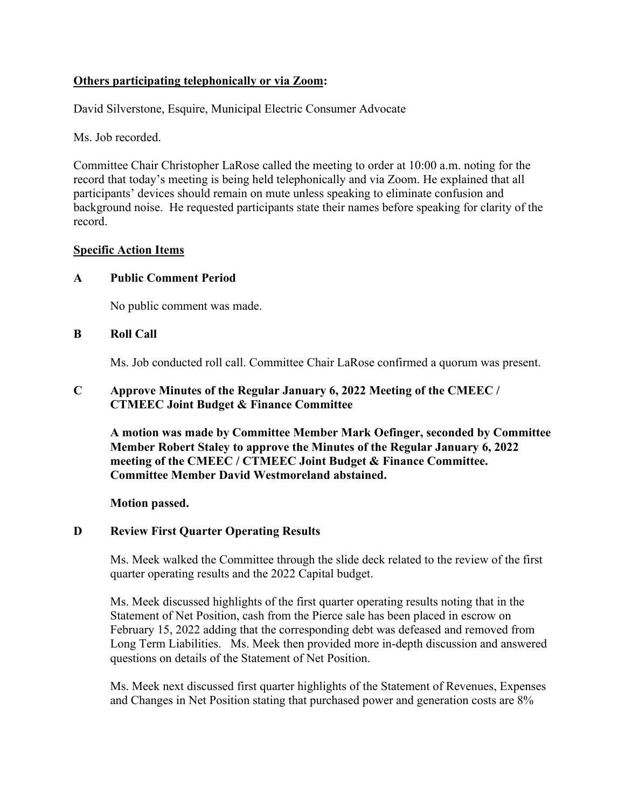# **Others participating telephonically or via Zoom:**

David Silverstone, Esquire, Municipal Electric Consumer Advocate

Ms. Job recorded.

Committee Chair Christopher LaRose called the meeting to order at 10:00 a.m. noting for the record that today's meeting is being held telephonically and via Zoom. He explained that all participants' devices should remain on mute unless speaking to eliminate confusion and background noise. He requested participants state their names before speaking for clarity of the record.

### **Specific Action Items**

### **A Public Comment Period**

No public comment was made.

### **B Roll Call**

Ms. Job conducted roll call. Committee Chair LaRose confirmed a quorum was present.

### **C Approve Minutes of the Regular January 6, 2022 Meeting of the CMEEC / CTMEEC Joint Budget & Finance Committee**

**A motion was made by Committee Member Mark Oefinger, seconded by Committee Member Robert Staley to approve the Minutes of the Regular January 6, 2022 meeting of the CMEEC / CTMEEC Joint Budget & Finance Committee. Committee Member David Westmoreland abstained.**

**Motion passed.** 

# **D Review First Quarter Operating Results**

Ms. Meek walked the Committee through the slide deck related to the review of the first quarter operating results and the 2022 Capital budget.

Ms. Meek discussed highlights of the first quarter operating results noting that in the Statement of Net Position, cash from the Pierce sale has been placed in escrow on February 15, 2022 adding that the corresponding debt was defeased and removed from Long Term Liabilities. Ms. Meek then provided more in-depth discussion and answered questions on details of the Statement of Net Position.

Ms. Meek next discussed first quarter highlights of the Statement of Revenues, Expenses and Changes in Net Position stating that purchased power and generation costs are 8%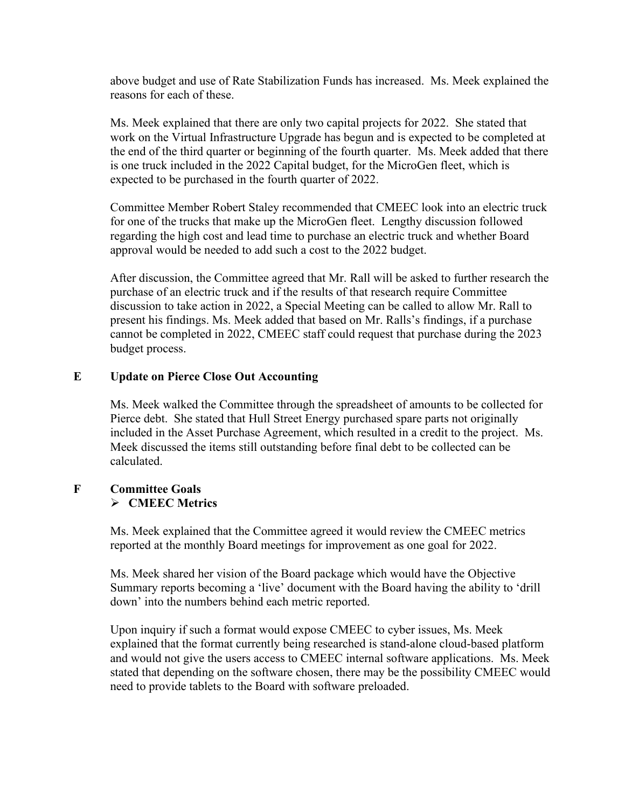above budget and use of Rate Stabilization Funds has increased. Ms. Meek explained the reasons for each of these.

Ms. Meek explained that there are only two capital projects for 2022. She stated that work on the Virtual Infrastructure Upgrade has begun and is expected to be completed at the end of the third quarter or beginning of the fourth quarter. Ms. Meek added that there is one truck included in the 2022 Capital budget, for the MicroGen fleet, which is expected to be purchased in the fourth quarter of 2022.

Committee Member Robert Staley recommended that CMEEC look into an electric truck for one of the trucks that make up the MicroGen fleet. Lengthy discussion followed regarding the high cost and lead time to purchase an electric truck and whether Board approval would be needed to add such a cost to the 2022 budget.

After discussion, the Committee agreed that Mr. Rall will be asked to further research the purchase of an electric truck and if the results of that research require Committee discussion to take action in 2022, a Special Meeting can be called to allow Mr. Rall to present his findings. Ms. Meek added that based on Mr. Ralls's findings, if a purchase cannot be completed in 2022, CMEEC staff could request that purchase during the 2023 budget process.

#### **E Update on Pierce Close Out Accounting**

Ms. Meek walked the Committee through the spreadsheet of amounts to be collected for Pierce debt. She stated that Hull Street Energy purchased spare parts not originally included in the Asset Purchase Agreement, which resulted in a credit to the project. Ms. Meek discussed the items still outstanding before final debt to be collected can be calculated.

### **F Committee Goals CMEEC Metrics**

Ms. Meek explained that the Committee agreed it would review the CMEEC metrics reported at the monthly Board meetings for improvement as one goal for 2022.

Ms. Meek shared her vision of the Board package which would have the Objective Summary reports becoming a 'live' document with the Board having the ability to 'drill down' into the numbers behind each metric reported.

Upon inquiry if such a format would expose CMEEC to cyber issues, Ms. Meek explained that the format currently being researched is stand-alone cloud-based platform and would not give the users access to CMEEC internal software applications. Ms. Meek stated that depending on the software chosen, there may be the possibility CMEEC would need to provide tablets to the Board with software preloaded.